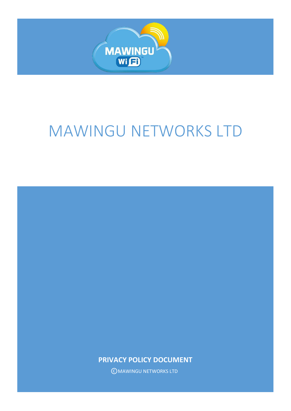

# MAWINGU NETWORKS LTD

**PRIVACY POLICY DOCUMENT**

©MAWINGU NETWORKS LTD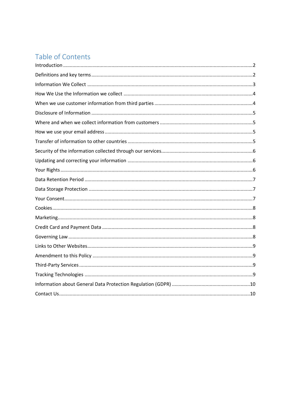# Table of Contents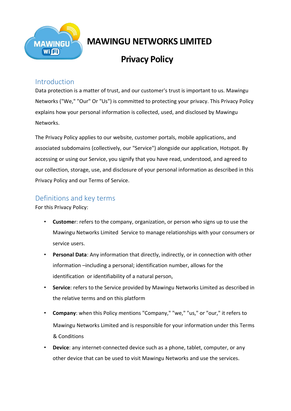

# **MAWINGU NETWORKS LIMITED**

# **Privacy Policy**

## <span id="page-2-0"></span>Introduction

Data protection is a matter of trust, and our customer's trust is important to us. Mawingu Networks ("We," "Our" Or "Us") is committed to protecting your privacy. This Privacy Policy explains how your personal information is collected, used, and disclosed by Mawingu Networks.

The Privacy Policy applies to our website, customer portals, mobile applications, and associated subdomains (collectively, our "Service") alongside our application, Hotspot. By accessing or using our Service, you signify that you have read, understood, and agreed to our collection, storage, use, and disclosure of your personal information as described in this Privacy Policy and our Terms of Service.

# <span id="page-2-1"></span>Definitions and key terms

For this Privacy Policy:

- **Custome**r: refers to the company, organization, or person who signs up to use the Mawingu Networks Limited Service to manage relationships with your consumers or service users.
- **Personal Data**: Any information that directly, indirectly, or in connection with other information –including a personal; identification number, allows for the identification or identifiability of a natural person,
- **Service**: refers to the Service provided by Mawingu Networks Limited as described in the relative terms and on this platform
- **Company**: when this Policy mentions "Company," "we," "us," or "our," it refers to Mawingu Networks Limited and is responsible for your information under this Terms & Conditions
- **Device**: any internet-connected device such as a phone, tablet, computer, or any other device that can be used to visit Mawingu Networks and use the services.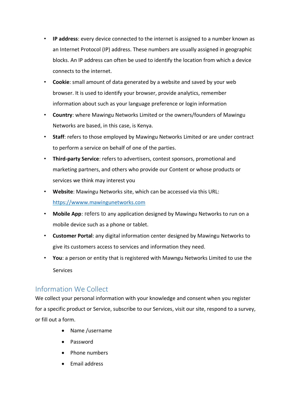- **IP address**: every device connected to the internet is assigned to a number known as an Internet Protocol (IP) address. These numbers are usually assigned in geographic blocks. An IP address can often be used to identify the location from which a device connects to the internet.
- **Cookie**: small amount of data generated by a website and saved by your web browser. It is used to identify your browser, provide analytics, remember information about such as your language preference or login information
- **Country**: where Mawingu Networks Limited or the owners/founders of Mawingu Networks are based, in this case, is Kenya.
- **Staff**: refers to those employed by Mawingu Networks Limited or are under contract to perform a service on behalf of one of the parties.
- **Third-party Service**: refers to advertisers, contest sponsors, promotional and marketing partners, and others who provide our Content or whose products or services we think may interest you
- **Website**: Mawingu Networks site, which can be accessed via this URL: [https://wwww.mawingunetworks.com](https://wwww.mawingunetworks.com/)
- **Mobile App**: refers to any application designed by Mawingu Networks to run on a mobile device such as a phone or tablet.
- **Customer Portal**: any digital information center designed by Mawingu Networks to give its customers access to services and information they need.
- **You**: a person or entity that is registered with Mawngu Networks Limited to use the Services

#### <span id="page-3-0"></span>Information We Collect

We collect your personal information with your knowledge and consent when you register for a specific product or Service, subscribe to our Services, visit our site, respond to a survey, or fill out a form.

- Name /username
- Password
- Phone numbers
- Email address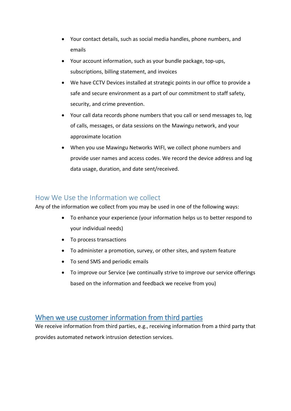- Your contact details, such as social media handles, phone numbers, and emails
- Your account information, such as your bundle package, top-ups, subscriptions, billing statement, and invoices
- We have CCTV Devices installed at strategic points in our office to provide a safe and secure environment as a part of our commitment to staff safety, security, and crime prevention.
- Your call data records phone numbers that you call or send messages to, log of calls, messages, or data sessions on the Mawingu network, and your approximate location
- When you use Mawingu Networks WIFI, we collect phone numbers and provide user names and access codes. We record the device address and log data usage, duration, and date sent/received.

#### <span id="page-4-0"></span>How We Use the Information we collect

Any of the information we collect from you may be used in one of the following ways:

- To enhance your experience (your information helps us to better respond to your individual needs)
- To process transactions
- To administer a promotion, survey, or other sites, and system feature
- To send SMS and periodic emails
- To improve our Service (we continually strive to improve our service offerings based on the information and feedback we receive from you)

#### <span id="page-4-1"></span>When we use customer information from third parties

We receive information from third parties, e.g., receiving information from a third party that provides automated network intrusion detection services.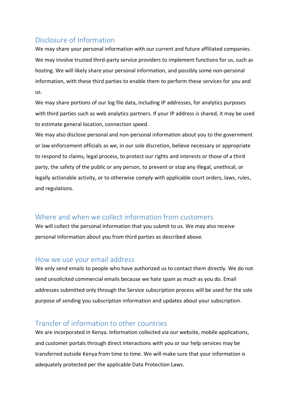### <span id="page-5-0"></span>Disclosure of Information

We may share your personal information with our current and future affiliated companies. We may involve trusted third-party service providers to implement functions for us, such as hosting. We will likely share your personal information, and possibly some non-personal information, with these third parties to enable them to perform these services for you and us.

We may share portions of our log file data, including IP addresses, for analytics purposes with third parties such as web analytics partners. If your IP address is shared, it may be used to estimate general location, connection speed.

We may also disclose personal and non-personal information about you to the government or law enforcement officials as we, in our sole discretion, believe necessary or appropriate to respond to claims, legal process, to protect our rights and interests or those of a third party, the safety of the public or any person, to prevent or stop any illegal, unethical, or legally actionable activity, or to otherwise comply with applicable court orders, laws, rules, and regulations.

#### <span id="page-5-1"></span>Where and when we collect information from customers

We will collect the personal information that you submit to us. We may also receive personal information about you from third parties as described above.

#### <span id="page-5-2"></span>How we use your email address

We only send emails to people who have authorized us to contact them directly. We do not send unsolicited commercial emails because we hate spam as much as you do. Email addresses submitted only through the Service subscription process will be used for the sole purpose of sending you subscription information and updates about your subscription.

#### <span id="page-5-3"></span>Transfer of information to other countries

We are incorporated in Kenya. Information collected via our website, mobile applications, and customer portals through direct interactions with you or our help services may be transferred outside Kenya from time to time. We will make sure that your information is adequately protected per the applicable Data Protection Laws.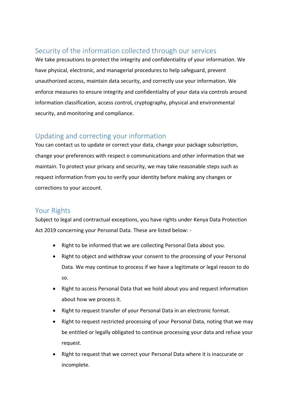# <span id="page-6-0"></span>Security of the information collected through our services

We take precautions to protect the integrity and confidentiality of your information. We have physical, electronic, and managerial procedures to help safeguard, prevent unauthorized access, maintain data security, and correctly use your information. We enforce measures to ensure integrity and confidentiality of your data via controls around information classification, access control, cryptography, physical and environmental security, and monitoring and compliance.

## <span id="page-6-1"></span>Updating and correcting your information

You can contact us to update or correct your data, change your package subscription, change your preferences with respect o communications and other information that we maintain. To protect your privacy and security, we may take reasonable steps such as request information from you to verify your identity before making any changes or corrections to your account.

#### <span id="page-6-2"></span>Your Rights

Subject to legal and contractual exceptions, you have rights under Kenya Data Protection Act 2019 concerning your Personal Data. These are listed below: -

- Right to be informed that we are collecting Personal Data about you.
- Right to object and withdraw your consent to the processing of your Personal Data. We may continue to process if we have a legitimate or legal reason to do so.
- Right to access Personal Data that we hold about you and request information about how we process it.
- Right to request transfer of your Personal Data in an electronic format.
- Right to request restricted processing of your Personal Data, noting that we may be entitled or legally obligated to continue processing your data and refuse your request.
- Right to request that we correct your Personal Data where it is inaccurate or incomplete.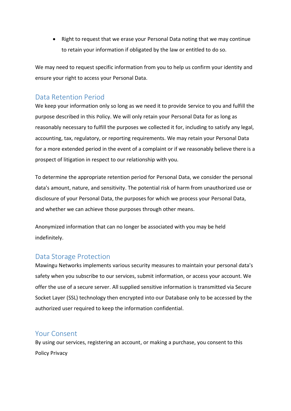• Right to request that we erase your Personal Data noting that we may continue to retain your information if obligated by the law or entitled to do so.

We may need to request specific information from you to help us confirm your identity and ensure your right to access your Personal Data.

#### <span id="page-7-0"></span>Data Retention Period

We keep your information only so long as we need it to provide Service to you and fulfill the purpose described in this Policy. We will only retain your Personal Data for as long as reasonably necessary to fulfill the purposes we collected it for, including to satisfy any legal, accounting, tax, regulatory, or reporting requirements. We may retain your Personal Data for a more extended period in the event of a complaint or if we reasonably believe there is a prospect of litigation in respect to our relationship with you.

To determine the appropriate retention period for Personal Data, we consider the personal data's amount, nature, and sensitivity. The potential risk of harm from unauthorized use or disclosure of your Personal Data, the purposes for which we process your Personal Data, and whether we can achieve those purposes through other means.

Anonymized information that can no longer be associated with you may be held indefinitely.

#### <span id="page-7-1"></span>Data Storage Protection

Mawingu Networks implements various security measures to maintain your personal data's safety when you subscribe to our services, submit information, or access your account. We offer the use of a secure server. All supplied sensitive information is transmitted via Secure Socket Layer (SSL) technology then encrypted into our Database only to be accessed by the authorized user required to keep the information confidential.

#### <span id="page-7-2"></span>Your Consent

By using our services, registering an account, or making a purchase, you consent to this Policy Privacy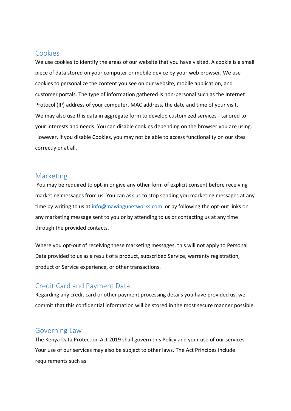#### <span id="page-8-0"></span>Cookies

We use cookies to identify the areas of our website that you have visited. A cookie is a small piece of data stored on your computer or mobile device by your web browser. We use cookies to personalize the content you see on our website, mobile application, and customer portals. The type of information gathered is non-personal such as the Internet Protocol (IP) address of your computer, MAC address, the date and time of your visit. We may also use this data in aggregate form to develop customized services - tailored to your interests and needs. You can disable cookies depending on the browser you are using. However, if you disable Cookies, you may not be able to access functionality on our sites correctly or at all.

#### <span id="page-8-1"></span>Marketing

You may be required to opt-in or give any other form of explicit consent before receiving marketing messages from us. You can ask us to stop sending you marketing messages at any time by writing to us a[t info@mawingunetworks.com](mailto:info@mawingunetworks.com) or by following the opt-out links on any marketing message sent to you or by attending to us or contacting us at any time through the provided contacts.

Where you opt-out of receiving these marketing messages, this will not apply to Personal Data provided to us as a result of a product, subscribed Service, warranty registration, product or Service experience, or other transactions.

#### <span id="page-8-2"></span>Credit Card and Payment Data

Regarding any credit card or other payment processing details you have provided us, we commit that this confidential information will be stored in the most secure manner possible.

#### <span id="page-8-3"></span>Governing Law

The Kenya Data Protection Act 2019 shall govern this Policy and your use of our services. Your use of our services may also be subject to other laws. The Act Principes include requirements such as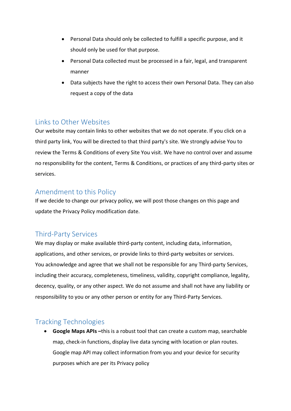- Personal Data should only be collected to fulfill a specific purpose, and it should only be used for that purpose.
- Personal Data collected must be processed in a fair, legal, and transparent manner
- Data subjects have the right to access their own Personal Data. They can also request a copy of the data

#### <span id="page-9-0"></span>Links to Other Websites

Our website may contain links to other websites that we do not operate. If you click on a third party link, You will be directed to that third party's site. We strongly advise You to review the Terms & Conditions of every Site You visit. We have no control over and assume no responsibility for the content, Terms & Conditions, or practices of any third-party sites or services.

#### <span id="page-9-1"></span>Amendment to this Policy

If we decide to change our privacy policy, we will post those changes on this page and update the Privacy Policy modification date.

#### <span id="page-9-2"></span>Third-Party Services

We may display or make available third-party content, including data, information, applications, and other services, or provide links to third-party websites or services. You acknowledge and agree that we shall not be responsible for any Third-party Services, including their accuracy, completeness, timeliness, validity, copyright compliance, legality, decency, quality, or any other aspect. We do not assume and shall not have any liability or responsibility to you or any other person or entity for any Third-Party Services.

# <span id="page-9-3"></span>Tracking Technologies

 **Google Maps APIs –**this is a robust tool that can create a custom map, searchable map, check-in functions, display live data syncing with location or plan routes. Google map API may collect information from you and your device for security purposes which are per its Privacy policy